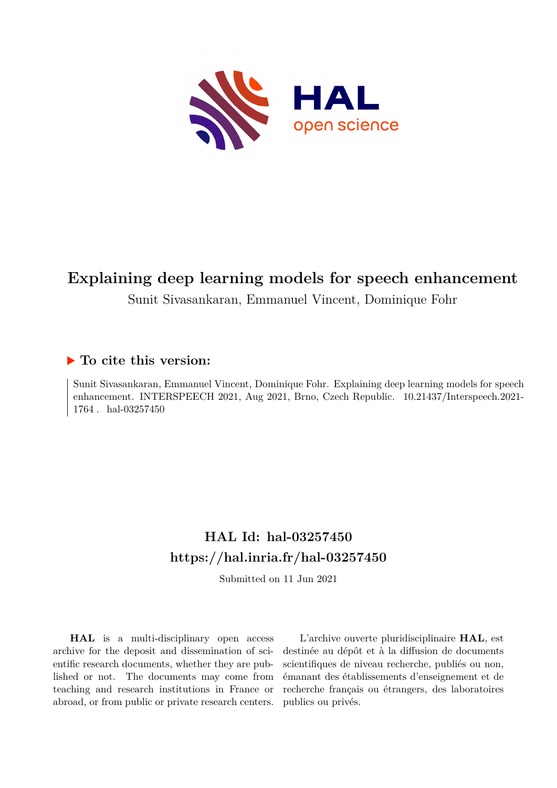

# **Explaining deep learning models for speech enhancement**

Sunit Sivasankaran, Emmanuel Vincent, Dominique Fohr

## **To cite this version:**

Sunit Sivasankaran, Emmanuel Vincent, Dominique Fohr. Explaining deep learning models for speech enhancement. INTERSPEECH 2021, Aug 2021, Brno, Czech Republic. 10.21437/Interspeech.2021- $1764$ . hal-03257450

# **HAL Id: hal-03257450 <https://hal.inria.fr/hal-03257450>**

Submitted on 11 Jun 2021

**HAL** is a multi-disciplinary open access archive for the deposit and dissemination of scientific research documents, whether they are published or not. The documents may come from teaching and research institutions in France or abroad, or from public or private research centers.

L'archive ouverte pluridisciplinaire **HAL**, est destinée au dépôt et à la diffusion de documents scientifiques de niveau recherche, publiés ou non, émanant des établissements d'enseignement et de recherche français ou étrangers, des laboratoires publics ou privés.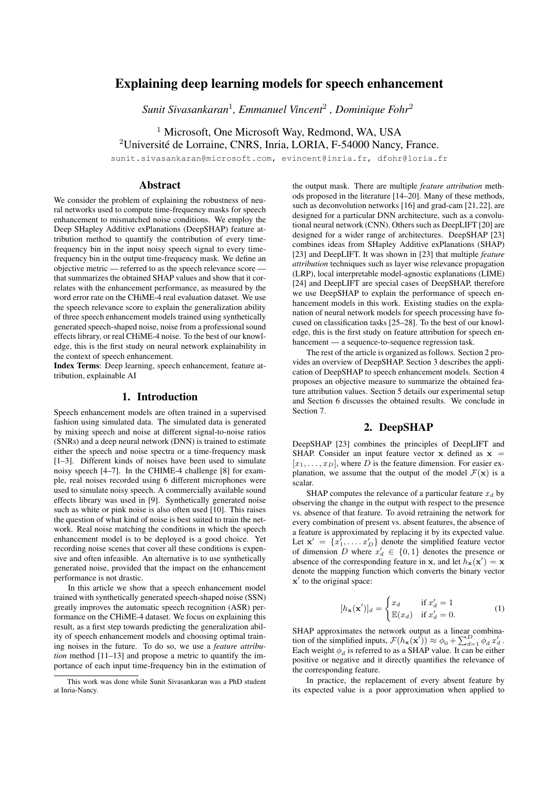## Explaining deep learning models for speech enhancement

*Sunit Sivasankaran*<sup>1</sup> *, Emmanuel Vincent*<sup>2</sup> *, Dominique Fohr*<sup>2</sup>

<sup>1</sup> Microsoft, One Microsoft Way, Redmond, WA, USA  $2$ Université de Lorraine, CNRS, Inria, LORIA, F-54000 Nancy, France.

sunit.sivasankaran@microsoft.com, evincent@inria.fr, dfohr@loria.fr

## Abstract

We consider the problem of explaining the robustness of neural networks used to compute time-frequency masks for speech enhancement to mismatched noise conditions. We employ the Deep SHapley Additive exPlanations (DeepSHAP) feature attribution method to quantify the contribution of every timefrequency bin in the input noisy speech signal to every timefrequency bin in the output time-frequency mask. We define an objective metric — referred to as the speech relevance score that summarizes the obtained SHAP values and show that it correlates with the enhancement performance, as measured by the word error rate on the CHiME-4 real evaluation dataset. We use the speech relevance score to explain the generalization ability of three speech enhancement models trained using synthetically generated speech-shaped noise, noise from a professional sound effects library, or real CHiME-4 noise. To the best of our knowledge, this is the first study on neural network explainability in the context of speech enhancement.

Index Terms: Deep learning, speech enhancement, feature attribution, explainable AI

## 1. Introduction

Speech enhancement models are often trained in a supervised fashion using simulated data. The simulated data is generated by mixing speech and noise at different signal-to-noise ratios (SNRs) and a deep neural network (DNN) is trained to estimate either the speech and noise spectra or a time-frequency mask [1–3]. Different kinds of noises have been used to simulate noisy speech [4–7]. In the CHIME-4 challenge [8] for example, real noises recorded using 6 different microphones were used to simulate noisy speech. A commercially available sound effects library was used in [9]. Synthetically generated noise such as white or pink noise is also often used [10]. This raises the question of what kind of noise is best suited to train the network. Real noise matching the conditions in which the speech enhancement model is to be deployed is a good choice. Yet recording noise scenes that cover all these conditions is expensive and often infeasible. An alternative is to use synthetically generated noise, provided that the impact on the enhancement performance is not drastic.

In this article we show that a speech enhancement model trained with synthetically generated speech-shaped noise (SSN) greatly improves the automatic speech recognition (ASR) performance on the CHiME-4 dataset. We focus on explaining this result, as a first step towards predicting the generalization ability of speech enhancement models and choosing optimal training noises in the future. To do so, we use a *feature attribution* method [11–13] and propose a metric to quantify the importance of each input time-frequency bin in the estimation of

the output mask. There are multiple *feature attribution* methods proposed in the literature [14–20]. Many of these methods, such as deconvolution networks [16] and grad-cam [21, 22], are designed for a particular DNN architecture, such as a convolutional neural network (CNN). Others such as DeepLIFT [20] are designed for a wider range of architectures. DeepSHAP [23] combines ideas from SHapley Additive exPlanations (SHAP) [23] and DeepLIFT. It was shown in [23] that multiple *feature attribution* techniques such as layer wise relevance propagation (LRP), local interpretable model-agnostic explanations (LIME) [24] and DeepLIFT are special cases of DeepSHAP, therefore we use DeepSHAP to explain the performance of speech enhancement models in this work. Existing studies on the explanation of neural network models for speech processing have focused on classification tasks [25–28]. To the best of our knowledge, this is the first study on feature attribution for speech enhancement — a sequence-to-sequence regression task.

The rest of the article is organized as follows. Section 2 provides an overview of DeepSHAP. Section 3 describes the application of DeepSHAP to speech enhancement models. Section 4 proposes an objective measure to summarize the obtained feature attribution values. Section 5 details our experimental setup and Section 6 discusses the obtained results. We conclude in Section 7.

## 2. DeepSHAP

DeepSHAP [23] combines the principles of DeepLIFT and SHAP. Consider an input feature vector  $x$  defined as  $x =$  $[x_1, \ldots, x_D]$ , where  $D$  is the feature dimension. For easier explanation, we assume that the output of the model  $\mathcal{F}(\mathbf{x})$  is a scalar.

SHAP computes the relevance of a particular feature  $x_d$  by observing the change in the output with respect to the presence vs. absence of that feature. To avoid retraining the network for every combination of present vs. absent features, the absence of a feature is approximated by replacing it by its expected value. Let  $\mathbf{x}' = \{x'_1, \dots, x'_D\}$  denote the simplified feature vector of dimension D where  $x'_d \in \{0,1\}$  denotes the presence or absence of the corresponding feature in **x**, and let  $h_{\mathbf{x}}(\mathbf{x}') = \mathbf{x}$ denote the mapping function which converts the binary vector  $x'$  to the original space:

$$
[h_{\mathbf{x}}(\mathbf{x}')]_d = \begin{cases} x_d & \text{if } x'_d = 1\\ \mathbb{E}(x_d) & \text{if } x'_d = 0. \end{cases}
$$
 (1)

SHAP approximates the network output as a linear combination of the simplified inputs,  $\mathcal{F}(h_{\mathbf{x}}(\mathbf{x}^{\hat{\prime}})) \approx \phi_0 + \sum_{d=1}^{D} \phi_d x_d^{\prime}$ . Each weight  $\phi_d$  is referred to as a SHAP value. It can be either positive or negative and it directly quantifies the relevance of the corresponding feature.

In practice, the replacement of every absent feature by its expected value is a poor approximation when applied to

This work was done while Sunit Sivasankaran was a PhD student at Inria-Nancy.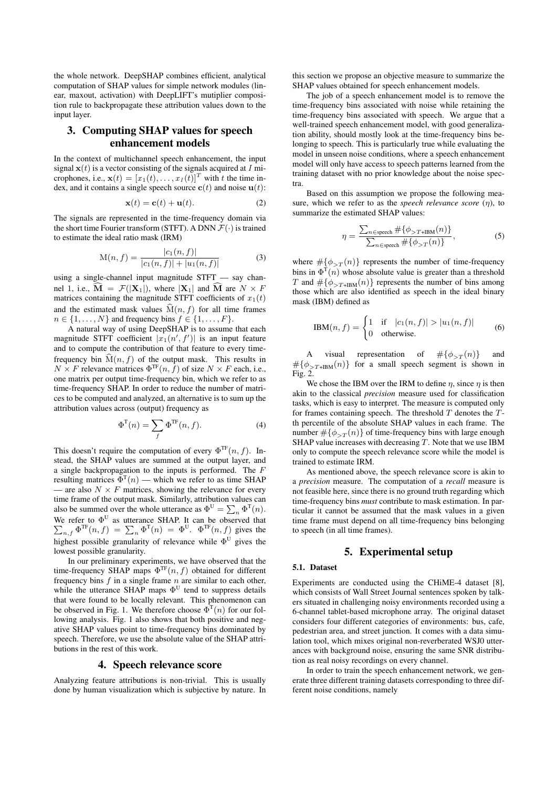the whole network. DeepSHAP combines efficient, analytical computation of SHAP values for simple network modules (linear, maxout, activation) with DeepLIFT's mutiplier composition rule to backpropagate these attribution values down to the input layer.

## 3. Computing SHAP values for speech enhancement models

In the context of multichannel speech enhancement, the input signal  $x(t)$  is a vector consisting of the signals acquired at I microphones, i.e.,  $\mathbf{x}(t) = [x_1(t), \dots, x_I(t)]^T$  with t the time index, and it contains a single speech source  $c(t)$  and noise  $u(t)$ :

$$
\mathbf{x}(t) = \mathbf{c}(t) + \mathbf{u}(t). \tag{2}
$$

The signals are represented in the time-frequency domain via the short time Fourier transform (STFT). A DNN  $\mathcal{F}(\cdot)$  is trained to estimate the ideal ratio mask (IRM)

$$
M(n, f) = \frac{|c_1(n, f)|}{|c_1(n, f)| + |u_1(n, f)|}
$$
(3)

using a single-channel input magnitude STFT — say channel 1, i.e.,  $\mathbf{\hat{M}} = \mathcal{F}(|\mathbf{X}_1|)$ , where  $|\mathbf{X}_1|$  and  $\mathbf{\hat{M}}$  are  $N \times F$ matrices containing the magnitude STFT coefficients of  $x_1(t)$ and the estimated mask values  $\hat{M}(n, f)$  for all time frames  $n \in \{1, \ldots, N\}$  and frequency bins  $f \in \{1, \ldots, F\}.$ 

A natural way of using DeepSHAP is to assume that each magnitude STFT coefficient  $|x_1(n', f')|$  is an input feature and to compute the contribution of that feature to every timefrequency bin  $\widehat{M}(n, f)$  of the output mask. This results in  $N \times F$  relevance matrices  $\Phi^{\text{TF}}(n, \bar{f})$  of size  $N \times F$  each, i.e., one matrix per output time-frequency bin, which we refer to as time-frequency SHAP. In order to reduce the number of matrices to be computed and analyzed, an alternative is to sum up the attribution values across (output) frequency as

$$
\Phi^{\mathrm{T}}(n) = \sum_{f} \Phi^{\mathrm{TF}}(n, f). \tag{4}
$$

This doesn't require the computation of every  $\Phi^{\text{TF}}(n, f)$ . Instead, the SHAP values are summed at the output layer, and a single backpropagation to the inputs is performed. The F resulting matrices  $\Phi^{T}(n)$  — which we refer to as time SHAP — are also  $N \times F$  matrices, showing the relevance for every time frame of the output mask. Similarly, attribution values can also be summed over the whole utterance as  $\Phi^U = \sum_n \Phi^T(n)$ . We refer to  $\Phi^{\text{U}}$ P as utterance SHAP. It can be observed that  $n_{n,f} \Phi^{\text{TF}}(n,f) = \sum_{n} \Phi^{\text{T}}(n) = \Phi^{\text{U}}$ .  $\Phi^{\text{TF}}(n,f)$  gives the highest possible granularity of relevance while  $\Phi^U$  gives the lowest possible granularity.

In our preliminary experiments, we have observed that the time-frequency SHAP maps  $\Phi^{\text{TF}}(n, f)$  obtained for different frequency bins  $f$  in a single frame  $n$  are similar to each other, while the utterance SHAP maps  $\Phi^U$  tend to suppress details that were found to be locally relevant. This phenomenon can be observed in Fig. 1. We therefore choose  $\Phi^{T}(n)$  for our following analysis. Fig. 1 also shows that both positive and negative SHAP values point to time-frequency bins dominated by speech. Therefore, we use the absolute value of the SHAP attributions in the rest of this work.

## 4. Speech relevance score

Analyzing feature attributions is non-trivial. This is usually done by human visualization which is subjective by nature. In

this section we propose an objective measure to summarize the SHAP values obtained for speech enhancement models.

The job of a speech enhancement model is to remove the time-frequency bins associated with noise while retaining the time-frequency bins associated with speech. We argue that a well-trained speech enhancement model, with good generalization ability, should mostly look at the time-frequency bins belonging to speech. This is particularly true while evaluating the model in unseen noise conditions, where a speech enhancement model will only have access to speech patterns learned from the training dataset with no prior knowledge about the noise spectra.

Based on this assumption we propose the following measure, which we refer to as the *speech relevance score*  $(\eta)$ , to summarize the estimated SHAP values:

$$
\eta = \frac{\sum_{n \in \text{ speech}} \# \{ \phi_{>T+IBM}(n) \}}{\sum_{n \in \text{ speech}} \# \{ \phi_{>T}(n) \}},\tag{5}
$$

where  $\#\{\phi_{\leq T}(n)\}\$  represents the number of time-frequency bins in  $\Phi^{T}(n)$  whose absolute value is greater than a threshold T and  $\# {\phi_{\geq T+IBM}(n)}$  represents the number of bins among those which are also identified as speech in the ideal binary mask (IBM) defined as

$$
IBM(n, f) = \begin{cases} 1 & \text{if } |c_1(n, f)| > |u_1(n, f)| \\ 0 & \text{otherwise.} \end{cases}
$$
 (6)

A visual representation of  $\#\{\phi_{\geq T}(n)\}\$  and  $# {\phi_{>T+IBM}(n)}$  for a small speech segment is shown in Fig. 2.

We chose the IBM over the IRM to define  $\eta$ , since  $\eta$  is then akin to the classical *precision* measure used for classification tasks, which is easy to interpret. The measure is computed only for frames containing speech. The threshold  $T$  denotes the  $T$ th percentile of the absolute SHAP values in each frame. The number  $\#\{\phi_{\leq T}(n)\}\$  of time-frequency bins with large enough SHAP value increases with decreasing  $T$ . Note that we use IBM only to compute the speech relevance score while the model is trained to estimate IRM.

As mentioned above, the speech relevance score is akin to a *precision* measure. The computation of a *recall* measure is not feasible here, since there is no ground truth regarding which time-frequency bins *must* contribute to mask estimation. In particular it cannot be assumed that the mask values in a given time frame must depend on all time-frequency bins belonging to speech (in all time frames).

## 5. Experimental setup

## 5.1. Dataset

Experiments are conducted using the CHiME-4 dataset [8], which consists of Wall Street Journal sentences spoken by talkers situated in challenging noisy environments recorded using a 6-channel tablet-based microphone array. The original dataset considers four different categories of environments: bus, cafe, pedestrian area, and street junction. It comes with a data simulation tool, which mixes original non-reverberated WSJ0 utterances with background noise, ensuring the same SNR distribution as real noisy recordings on every channel.

In order to train the speech enhancement network, we generate three different training datasets corresponding to three different noise conditions, namely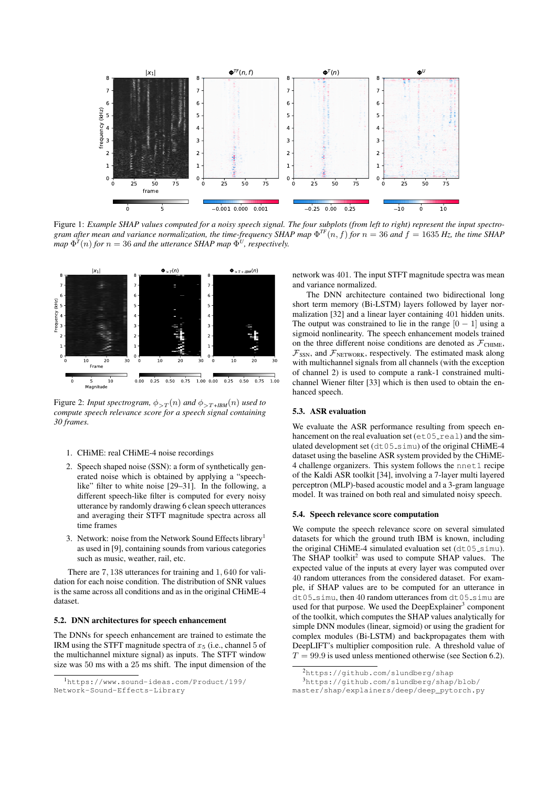

Figure 1: *Example SHAP values computed for a noisy speech signal. The four subplots (from left to right) represent the input spectro*gram after mean and variance normalization, the time-frequency SHAP map  $\Phi^{TF}(n, f)$  for  $n = 36$  and  $f = 1635$  Hz, the time SHAP  $map \ \Phi^T(n)$  *for*  $n = 36$  *and the utterance SHAP map*  $\Phi^U$ *, respectively.* 



Figure 2: *Input spectrogram,*  $\phi_{>T}(n)$  *and*  $\phi_{>T+IBM}(n)$  *used to compute speech relevance score for a speech signal containing 30 frames.*

- 1. CHiME: real CHiME-4 noise recordings
- 2. Speech shaped noise (SSN): a form of synthetically generated noise which is obtained by applying a "speechlike" filter to white noise [29–31]. In the following, a different speech-like filter is computed for every noisy utterance by randomly drawing 6 clean speech utterances and averaging their STFT magnitude spectra across all time frames
- 3. Network: noise from the Network Sound Effects library<sup>1</sup> as used in [9], containing sounds from various categories such as music, weather, rail, etc.

There are 7, 138 utterances for training and 1, 640 for validation for each noise condition. The distribution of SNR values is the same across all conditions and as in the original CHiME-4 dataset.

#### 5.2. DNN architectures for speech enhancement

The DNNs for speech enhancement are trained to estimate the IRM using the STFT magnitude spectra of  $x_5$  (i.e., channel 5 of the multichannel mixture signal) as inputs. The STFT window size was 50 ms with a 25 ms shift. The input dimension of the

network was 401. The input STFT magnitude spectra was mean and variance normalized.

The DNN architecture contained two bidirectional long short term memory (Bi-LSTM) layers followed by layer normalization [32] and a linear layer containing 401 hidden units. The output was constrained to lie in the range  $[0 - 1]$  using a sigmoid nonlinearity. The speech enhancement models trained on the three different noise conditions are denoted as  $\mathcal{F}_{\text{CHIME}}$ ,  $\mathcal{F}_{SSN}$ , and  $\mathcal{F}_{NETWORK}$ , respectively. The estimated mask along with multichannel signals from all channels (with the exception of channel 2) is used to compute a rank-1 constrained multichannel Wiener filter [33] which is then used to obtain the enhanced speech.

#### 5.3. ASR evaluation

We evaluate the ASR performance resulting from speech enhancement on the real evaluation set ( $et05$ <sub>real</sub>) and the simulated development set  $(dt05 \text{ s} \text{imu})$  of the original CHiME-4 dataset using the baseline ASR system provided by the CHiME-4 challenge organizers. This system follows the nnet1 recipe of the Kaldi ASR toolkit [34], involving a 7-layer multi layered perceptron (MLP)-based acoustic model and a 3-gram language model. It was trained on both real and simulated noisy speech.

#### 5.4. Speech relevance score computation

We compute the speech relevance score on several simulated datasets for which the ground truth IBM is known, including the original CHiME-4 simulated evaluation set  $(dt05 \text{ s} \text{imu})$ . The SHAP toolkit<sup>2</sup> was used to compute SHAP values. The expected value of the inputs at every layer was computed over 40 random utterances from the considered dataset. For example, if SHAP values are to be computed for an utterance in dt05 simu, then 40 random utterances from dt05 simu are used for that purpose. We used the DeepExplainer<sup>3</sup> component of the toolkit, which computes the SHAP values analytically for simple DNN modules (linear, sigmoid) or using the gradient for complex modules (Bi-LSTM) and backpropagates them with DeepLIFT's multiplier composition rule. A threshold value of  $T = 99.9$  is used unless mentioned otherwise (see Section 6.2).

<sup>1</sup>https://www.sound-ideas.com/Product/199/ Network-Sound-Effects-Library

<sup>2</sup>https://github.com/slundberg/shap

<sup>3</sup>https://github.com/slundberg/shap/blob/

master/shap/explainers/deep/deep\_pytorch.py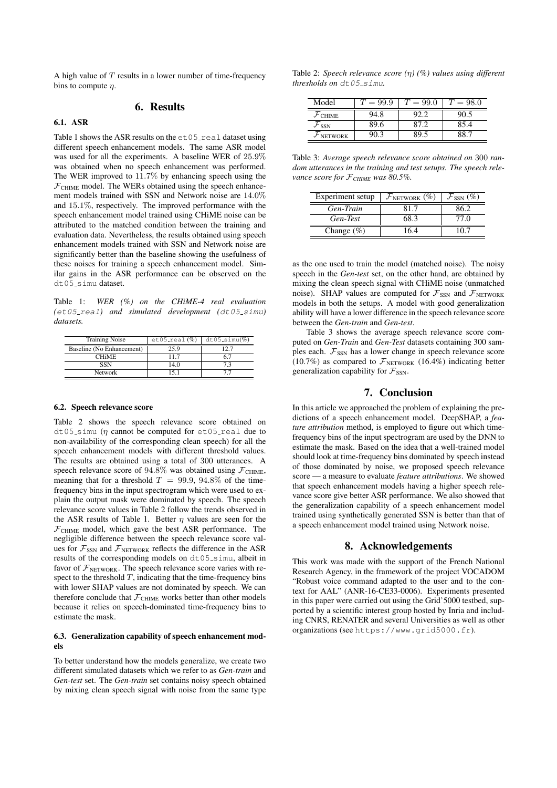A high value of  $T$  results in a lower number of time-frequency bins to compute  $\eta$ .

## 6. Results

#### 6.1. ASR

Table 1 shows the ASR results on the  $et05$  real dataset using different speech enhancement models. The same ASR model was used for all the experiments. A baseline WER of 25.9% was obtained when no speech enhancement was performed. The WER improved to 11.7% by enhancing speech using the  $\mathcal{F}_{\text{CHIME}}$  model. The WERs obtained using the speech enhancement models trained with SSN and Network noise are 14.0% and 15.1%, respectively. The improved performance with the speech enhancement model trained using CHiME noise can be attributed to the matched condition between the training and evaluation data. Nevertheless, the results obtained using speech enhancement models trained with SSN and Network noise are significantly better than the baseline showing the usefulness of these noises for training a speech enhancement model. Similar gains in the ASR performance can be observed on the dt05\_simu dataset.

Table 1: *WER (%) on the CHiME-4 real evaluation (*et05 real*) and simulated development (*dt05 simu*) datasets.*

| <b>Training Noise</b>     | $et05_{real}(\%)$ | $dt05$ _simu $(\%)$ |
|---------------------------|-------------------|---------------------|
| Baseline (No Enhancement) | 25.9              | ר רו                |
| <b>CHIME</b>              | 117               | 6.7                 |
| SSN                       | 14.0              | 73                  |
| Network                   |                   | 77                  |

#### 6.2. Speech relevance score

Table 2 shows the speech relevance score obtained on dt05\_simu ( $\eta$  cannot be computed for et05\_real due to non-availability of the corresponding clean speech) for all the speech enhancement models with different threshold values. The results are obtained using a total of 300 utterances. A speech relevance score of 94.8% was obtained using  $\mathcal{F}_{\text{CHIME}}$ , meaning that for a threshold  $T = 99.9, 94.8\%$  of the timefrequency bins in the input spectrogram which were used to explain the output mask were dominated by speech. The speech relevance score values in Table 2 follow the trends observed in the ASR results of Table 1. Better  $\eta$  values are seen for the  $\mathcal{F}_{\text{CHIME}}$  model, which gave the best ASR performance. The negligible difference between the speech relevance score values for  $\mathcal{F}_{SSN}$  and  $\mathcal{F}_{NETWORK}$  reflects the difference in the ASR results of the corresponding models on dt05\_simu, albeit in favor of  $\mathcal{F}_{\text{NETWORK}}$ . The speech relevance score varies with respect to the threshold  $T$ , indicating that the time-frequency bins with lower SHAP values are not dominated by speech. We can therefore conclude that  $\mathcal{F}_{\text{CHIME}}$  works better than other models because it relies on speech-dominated time-frequency bins to estimate the mask.

#### 6.3. Generalization capability of speech enhancement models

To better understand how the models generalize, we create two different simulated datasets which we refer to as *Gen-train* and *Gen-test* set. The *Gen-train* set contains noisy speech obtained by mixing clean speech signal with noise from the same type

Table 2: *Speech relevance score (*η*) (%) values using different thresholds on* dt05\_simu.

| Model                  | $i = 99.9$ | $= 99.0$ | $= 98.0$ |
|------------------------|------------|----------|----------|
| ${\cal F}_{\rm CHIME}$ | 94.8       |          | 90       |
| $F_{SSN}$              | 89.6       | 87 2     | 85.4     |
| $\mathcal F$ NETWORK   | วก จ       | 99.      |          |

Table 3: *Average speech relevance score obtained on* 300 *random utterances in the training and test setups. The speech relevance score for* F*CHIME was 80.5%.*

| Experiment setup | $\mathcal{F}_{\text{NETWORK}}(\%)$ | $\mathcal{F}_{SSN}(\%)$ |
|------------------|------------------------------------|-------------------------|
| Gen-Train        | 81.7                               | 86.2                    |
| Gen-Test         | 68.3                               | 77.O                    |
| Change $(\%)$    | 16.4                               |                         |

as the one used to train the model (matched noise). The noisy speech in the *Gen-test* set, on the other hand, are obtained by mixing the clean speech signal with CHiME noise (unmatched noise). SHAP values are computed for  $\mathcal{F}_{SSN}$  and  $\mathcal{F}_{NETWORK}$ models in both the setups. A model with good generalization ability will have a lower difference in the speech relevance score between the *Gen-train* and *Gen-test*.

Table 3 shows the average speech relevance score computed on *Gen-Train* and *Gen-Test* datasets containing 300 samples each.  $\mathcal{F}_{SSN}$  has a lower change in speech relevance score (10.7%) as compared to  $\mathcal{F}_{\text{NETWORK}}$  (16.4%) indicating better generalization capability for  $\mathcal{F}_{SSN}$ .

## 7. Conclusion

In this article we approached the problem of explaining the predictions of a speech enhancement model. DeepSHAP, a *feature attribution* method, is employed to figure out which timefrequency bins of the input spectrogram are used by the DNN to estimate the mask. Based on the idea that a well-trained model should look at time-frequency bins dominated by speech instead of those dominated by noise, we proposed speech relevance score — a measure to evaluate *feature attributions*. We showed that speech enhancement models having a higher speech relevance score give better ASR performance. We also showed that the generalization capability of a speech enhancement model trained using synthetically generated SSN is better than that of a speech enhancement model trained using Network noise.

## 8. Acknowledgements

This work was made with the support of the French National Research Agency, in the framework of the project VOCADOM "Robust voice command adapted to the user and to the context for AAL" (ANR-16-CE33-0006). Experiments presented in this paper were carried out using the Grid'5000 testbed, supported by a scientific interest group hosted by Inria and including CNRS, RENATER and several Universities as well as other organizations (see https://www.grid5000.fr).